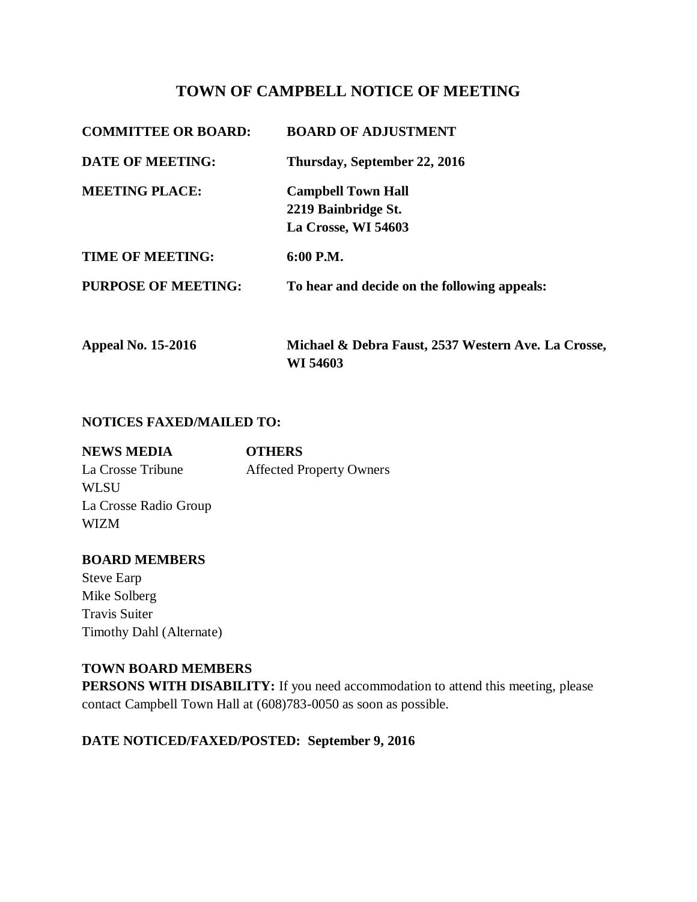# **TOWN OF CAMPBELL NOTICE OF MEETING**

| <b>COMMITTEE OR BOARD:</b> | <b>BOARD OF ADJUSTMENT</b>                                              |
|----------------------------|-------------------------------------------------------------------------|
| <b>DATE OF MEETING:</b>    | Thursday, September 22, 2016                                            |
| <b>MEETING PLACE:</b>      | <b>Campbell Town Hall</b><br>2219 Bainbridge St.<br>La Crosse, WI 54603 |
| <b>TIME OF MEETING:</b>    | 6:00 P.M.                                                               |
| <b>PURPOSE OF MEETING:</b> | To hear and decide on the following appeals:                            |
| <b>Appeal No. 15-2016</b>  | Michael & Debra Faust, 2537 Western Ave. La Crosse,<br>WI 54603         |

#### **NOTICES FAXED/MAILED TO:**

| <b>OTHERS</b>                   |
|---------------------------------|
| <b>Affected Property Owners</b> |
|                                 |
|                                 |
|                                 |
|                                 |

#### **BOARD MEMBERS**

Steve Earp Mike Solberg Travis Suiter Timothy Dahl (Alternate)

#### **TOWN BOARD MEMBERS**

**PERSONS WITH DISABILITY:** If you need accommodation to attend this meeting, please contact Campbell Town Hall at (608)783-0050 as soon as possible.

## **DATE NOTICED/FAXED/POSTED: September 9, 2016**